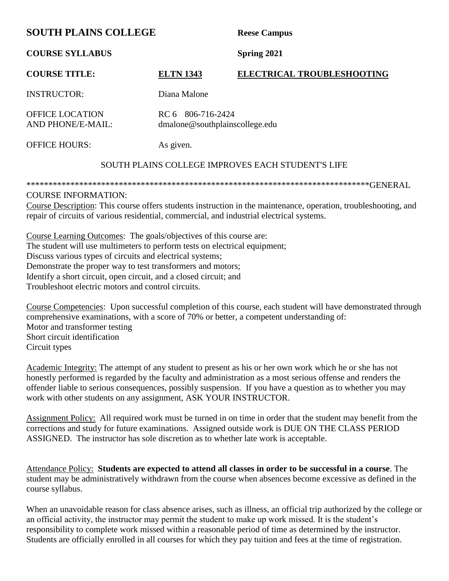# **SOUTH PLAINS COLLEGE** Reese Campus

**COURSE SYLLABUS Spring 2021**

## **COURSE TITLE: ELTN 1343 ELECTRICAL TROUBLESHOOTING**

INSTRUCTOR: Diana Malone

OFFICE LOCATION RC 6 806-716-2424

AND PHONE/E-MAIL: dmalone@southplainscollege.edu

OFFICE HOURS: As given.

### SOUTH PLAINS COLLEGE IMPROVES EACH STUDENT'S LIFE

\*\*\*\*\*\*\*\*\*\*\*\*\*\*\*\*\*\*\*\*\*\*\*\*\*\*\*\*\*\*\*\*\*\*\*\*\*\*\*\*\*\*\*\*\*\*\*\*\*\*\*\*\*\*\*\*\*\*\*\*\*\*\*\*\*\*\*\*\*\*\*\*\*\*\*\*\*\*GENERAL

#### COURSE INFORMATION:

Course Description: This course offers students instruction in the maintenance, operation, troubleshooting, and repair of circuits of various residential, commercial, and industrial electrical systems.

Course Learning Outcomes: The goals/objectives of this course are: The student will use multimeters to perform tests on electrical equipment; Discuss various types of circuits and electrical systems; Demonstrate the proper way to test transformers and motors; Identify a short circuit, open circuit, and a closed circuit; and Troubleshoot electric motors and control circuits.

Course Competencies: Upon successful completion of this course, each student will have demonstrated through comprehensive examinations, with a score of 70% or better, a competent understanding of: Motor and transformer testing Short circuit identification Circuit types

Academic Integrity: The attempt of any student to present as his or her own work which he or she has not honestly performed is regarded by the faculty and administration as a most serious offense and renders the offender liable to serious consequences, possibly suspension. If you have a question as to whether you may work with other students on any assignment, ASK YOUR INSTRUCTOR.

Assignment Policy: All required work must be turned in on time in order that the student may benefit from the corrections and study for future examinations. Assigned outside work is DUE ON THE CLASS PERIOD ASSIGNED. The instructor has sole discretion as to whether late work is acceptable.

Attendance Policy: **Students are expected to attend all classes in order to be successful in a course**. The student may be administratively withdrawn from the course when absences become excessive as defined in the course syllabus.

When an unavoidable reason for class absence arises, such as illness, an official trip authorized by the college or an official activity, the instructor may permit the student to make up work missed. It is the student's responsibility to complete work missed within a reasonable period of time as determined by the instructor. Students are officially enrolled in all courses for which they pay tuition and fees at the time of registration.